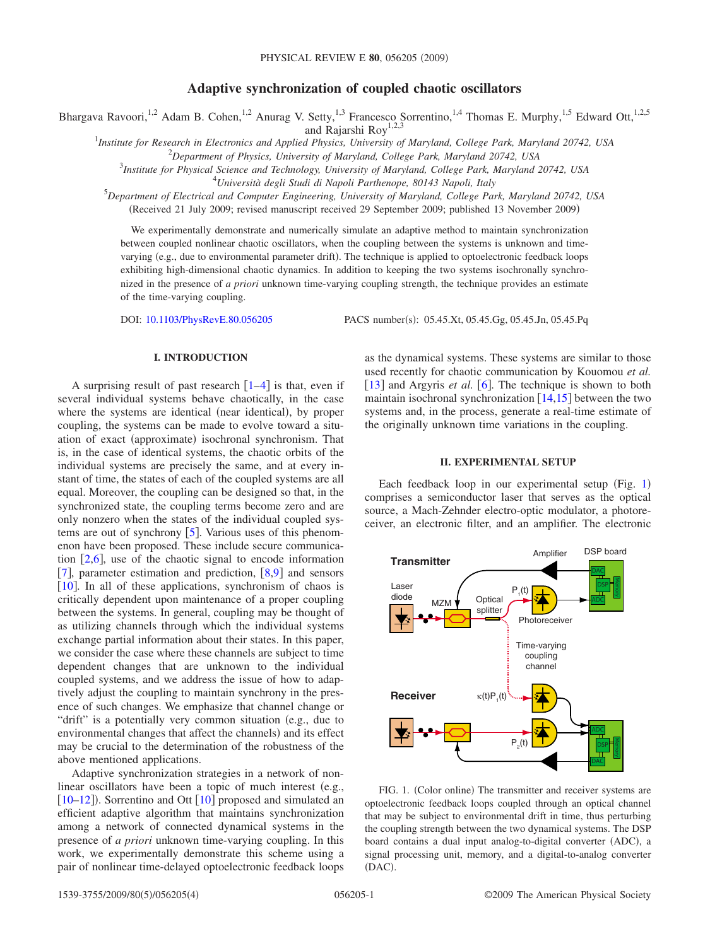# **Adaptive synchronization of coupled chaotic oscillators**

Bhargava Ravoori,<sup>1,2</sup> Adam B. Cohen,<sup>1,2</sup> Anurag V. Setty,<sup>1,3</sup> Francesco Sorrentino,<sup>1,4</sup> Thomas E. Murphy,<sup>1,5</sup> Edward Ott,<sup>1,2,5</sup>

and Rajarshi Roy<sup>1,2,3</sup>

1 *Institute for Research in Electronics and Applied Physics, University of Maryland, College Park, Maryland 20742, USA*

2 *Department of Physics, University of Maryland, College Park, Maryland 20742, USA* 3 *Institute for Physical Science and Technology, University of Maryland, College Park, Maryland 20742, USA*

4 *Università degli Studi di Napoli Parthenope, 80143 Napoli, Italy*

5 *Department of Electrical and Computer Engineering, University of Maryland, College Park, Maryland 20742, USA*

Received 21 July 2009; revised manuscript received 29 September 2009; published 13 November 2009-

We experimentally demonstrate and numerically simulate an adaptive method to maintain synchronization between coupled nonlinear chaotic oscillators, when the coupling between the systems is unknown and timevarying (e.g., due to environmental parameter drift). The technique is applied to optoelectronic feedback loops exhibiting high-dimensional chaotic dynamics. In addition to keeping the two systems isochronally synchronized in the presence of *a priori* unknown time-varying coupling strength, the technique provides an estimate of the time-varying coupling.

DOI: [10.1103/PhysRevE.80.056205](http://dx.doi.org/10.1103/PhysRevE.80.056205)

PACS number(s): 05.45.Xt, 05.45.Gg, 05.45.Jn, 05.45.Pq

## **I. INTRODUCTION**

A surprising result of past research  $\lceil 1-4 \rceil$  $\lceil 1-4 \rceil$  $\lceil 1-4 \rceil$  is that, even if several individual systems behave chaotically, in the case where the systems are identical (near identical), by proper coupling, the systems can be made to evolve toward a situation of exact (approximate) isochronal synchronism. That is, in the case of identical systems, the chaotic orbits of the individual systems are precisely the same, and at every instant of time, the states of each of the coupled systems are all equal. Moreover, the coupling can be designed so that, in the synchronized state, the coupling terms become zero and are only nonzero when the states of the individual coupled systems are out of synchrony  $[5]$  $[5]$  $[5]$ . Various uses of this phenomenon have been proposed. These include secure communication  $[2,6]$  $[2,6]$  $[2,6]$  $[2,6]$ , use of the chaotic signal to encode information [[7](#page-3-5)], parameter estimation and prediction,  $[8,9]$  $[8,9]$  $[8,9]$  $[8,9]$  and sensors [ $10$ ]. In all of these applications, synchronism of chaos is critically dependent upon maintenance of a proper coupling between the systems. In general, coupling may be thought of as utilizing channels through which the individual systems exchange partial information about their states. In this paper, we consider the case where these channels are subject to time dependent changes that are unknown to the individual coupled systems, and we address the issue of how to adaptively adjust the coupling to maintain synchrony in the presence of such changes. We emphasize that channel change or "drift" is a potentially very common situation (e.g., due to environmental changes that affect the channels) and its effect may be crucial to the determination of the robustness of the above mentioned applications.

Adaptive synchronization strategies in a network of nonlinear oscillators have been a topic of much interest (e.g.,  $[10-12]$  $[10-12]$  $[10-12]$ ). Sorrentino and Ott  $[10]$  $[10]$  $[10]$  proposed and simulated an efficient adaptive algorithm that maintains synchronization among a network of connected dynamical systems in the presence of *a priori* unknown time-varying coupling. In this work, we experimentally demonstrate this scheme using a pair of nonlinear time-delayed optoelectronic feedback loops as the dynamical systems. These systems are similar to those used recently for chaotic communication by Kouomou *et al.* [[13](#page-3-10)] and Argyris *et al.*  $[6]$  $[6]$  $[6]$ . The technique is shown to both maintain isochronal synchronization  $[14,15]$  $[14,15]$  $[14,15]$  $[14,15]$  between the two systems and, in the process, generate a real-time estimate of the originally unknown time variations in the coupling.

### **II. EXPERIMENTAL SETUP**

Each feedback loop in our experimental setup (Fig. [1](#page-0-0)) comprises a semiconductor laser that serves as the optical source, a Mach-Zehnder electro-optic modulator, a photoreceiver, an electronic filter, and an amplifier. The electronic

<span id="page-0-0"></span>

FIG. 1. (Color online) The transmitter and receiver systems are optoelectronic feedback loops coupled through an optical channel that may be subject to environmental drift in time, thus perturbing the coupling strength between the two dynamical systems. The DSP board contains a dual input analog-to-digital converter (ADC), a signal processing unit, memory, and a digital-to-analog converter (DAC).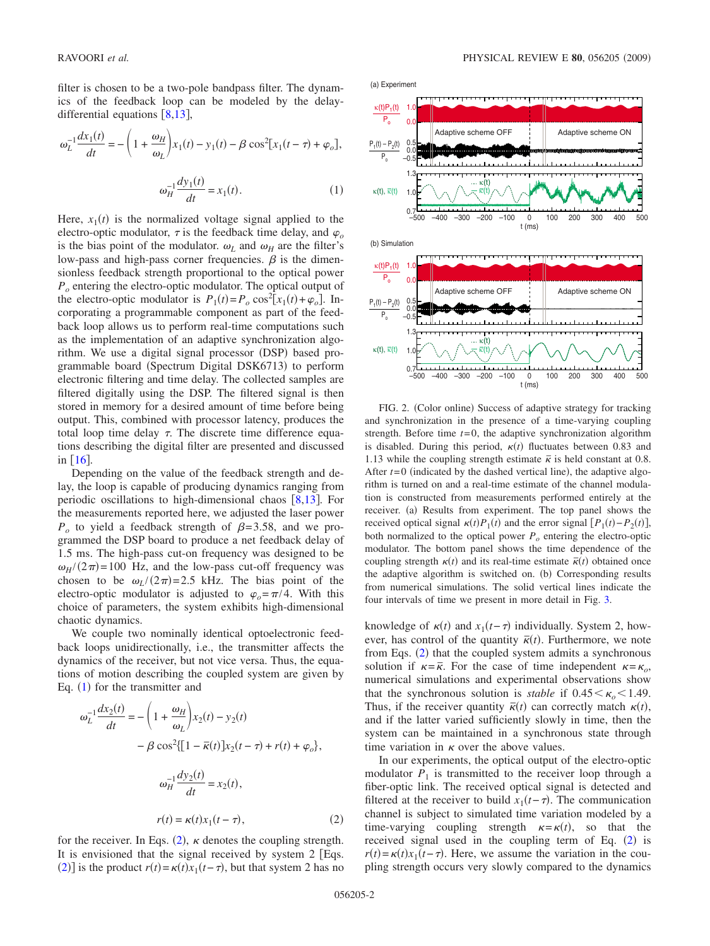filter is chosen to be a two-pole bandpass filter. The dynamics of the feedback loop can be modeled by the delaydifferential equations  $\lceil 8, 13 \rceil$  $\lceil 8, 13 \rceil$  $\lceil 8, 13 \rceil$ ,

<span id="page-1-0"></span>
$$
\omega_L^{-1} \frac{dx_1(t)}{dt} = -\left(1 + \frac{\omega_H}{\omega_L}\right) x_1(t) - y_1(t) - \beta \cos^2[x_1(t-\tau) + \varphi_o],
$$

$$
\omega_H^{-1} \frac{dy_1(t)}{dt} = x_1(t). \tag{1}
$$

Here,  $x_1(t)$  is the normalized voltage signal applied to the electro-optic modulator,  $\tau$  is the feedback time delay, and  $\varphi$ <sub>o</sub> is the bias point of the modulator.  $\omega_L$  and  $\omega_H$  are the filter's low-pass and high-pass corner frequencies.  $\beta$  is the dimensionless feedback strength proportional to the optical power *Po* entering the electro-optic modulator. The optical output of the electro-optic modulator is  $P_1(t) = P_o \cos^2[x_1(t) + \varphi_o]$ . Incorporating a programmable component as part of the feedback loop allows us to perform real-time computations such as the implementation of an adaptive synchronization algorithm. We use a digital signal processor (DSP) based programmable board (Spectrum Digital DSK6713) to perform electronic filtering and time delay. The collected samples are filtered digitally using the DSP. The filtered signal is then stored in memory for a desired amount of time before being output. This, combined with processor latency, produces the total loop time delay  $\tau$ . The discrete time difference equations describing the digital filter are presented and discussed in  $\lceil 16 \rceil$  $\lceil 16 \rceil$  $\lceil 16 \rceil$ .

Depending on the value of the feedback strength and delay, the loop is capable of producing dynamics ranging from periodic oscillations to high-dimensional chaos  $[8,13]$  $[8,13]$  $[8,13]$  $[8,13]$ . For the measurements reported here, we adjusted the laser power  $P_o$  to yield a feedback strength of  $\beta = 3.58$ , and we programmed the DSP board to produce a net feedback delay of 1.5 ms. The high-pass cut-on frequency was designed to be  $\omega_H$ /(2 $\pi$ )=100 Hz, and the low-pass cut-off frequency was chosen to be  $\omega_L/(2\pi) = 2.5$  kHz. The bias point of the electro-optic modulator is adjusted to  $\varphi_o = \pi/4$ . With this choice of parameters, the system exhibits high-dimensional chaotic dynamics.

We couple two nominally identical optoelectronic feedback loops unidirectionally, i.e., the transmitter affects the dynamics of the receiver, but not vice versa. Thus, the equations of motion describing the coupled system are given by Eq.  $(1)$  $(1)$  $(1)$  for the transmitter and

<span id="page-1-1"></span>
$$
\omega_L^{-1} \frac{dx_2(t)}{dt} = -\left(1 + \frac{\omega_H}{\omega_L}\right) x_2(t) - y_2(t)
$$

$$
-\beta \cos^2 \{ [1 - \overline{\kappa}(t)] x_2(t - \tau) + r(t) + \varphi_o \},\
$$

$$
\omega_H^{-1} \frac{dy_2(t)}{dt} = x_2(t),
$$

$$
r(t) = \kappa(t) x_1(t - \tau),
$$
(2)

for the receiver. In Eqs. ([2](#page-1-1)),  $\kappa$  denotes the coupling strength. It is envisioned that the signal received by system 2 [Eqs. ([2](#page-1-1))] is the product  $r(t) = \kappa(t)x_1(t-\tau)$ , but that system 2 has no

RAVOORI *et al.* PHYSICAL REVIEW E **80**, 056205 2009-

<span id="page-1-2"></span>

FIG. 2. (Color online) Success of adaptive strategy for tracking and synchronization in the presence of a time-varying coupling strength. Before time  $t=0$ , the adaptive synchronization algorithm is disabled. During this period,  $\kappa(t)$  fluctuates between 0.83 and 1.13 while the coupling strength estimate  $\bar{\kappa}$  is held constant at 0.8. After  $t=0$  (indicated by the dashed vertical line), the adaptive algorithm is turned on and a real-time estimate of the channel modulation is constructed from measurements performed entirely at the receiver. (a) Results from experiment. The top panel shows the received optical signal  $\kappa(t)P_1(t)$  and the error signal  $[P_1(t)-P_2(t)]$ , both normalized to the optical power  $P<sub>o</sub>$  entering the electro-optic modulator. The bottom panel shows the time dependence of the coupling strength  $\kappa(t)$  and its real-time estimate  $\vec{\kappa}(t)$  obtained once the adaptive algorithm is switched on. (b) Corresponding results from numerical simulations. The solid vertical lines indicate the four intervals of time we present in more detail in Fig. [3.](#page-2-0)

knowledge of  $\kappa(t)$  and  $x_1(t-\tau)$  individually. System 2, however, has control of the quantity  $\bar{\kappa}(t)$ . Furthermore, we note from Eqs. ([2](#page-1-1)) that the coupled system admits a synchronous solution if  $\kappa = \bar{\kappa}$ . For the case of time independent  $\kappa = \kappa_o$ , numerical simulations and experimental observations show that the synchronous solution is *stable* if  $0.45 < \kappa_0 < 1.49$ . Thus, if the receiver quantity  $\bar{\kappa}(t)$  can correctly match  $\kappa(t)$ , and if the latter varied sufficiently slowly in time, then the system can be maintained in a synchronous state through time variation in  $\kappa$  over the above values.

In our experiments, the optical output of the electro-optic modulator  $P_1$  is transmitted to the receiver loop through a fiber-optic link. The received optical signal is detected and filtered at the receiver to build  $x_1(t-\tau)$ . The communication channel is subject to simulated time variation modeled by a time-varying coupling strength  $\kappa = \kappa(t)$ , so that the received signal used in the coupling term of Eq. ([2](#page-1-1)) is  $r(t) = \kappa(t)x_1(t-\tau)$ . Here, we assume the variation in the coupling strength occurs very slowly compared to the dynamics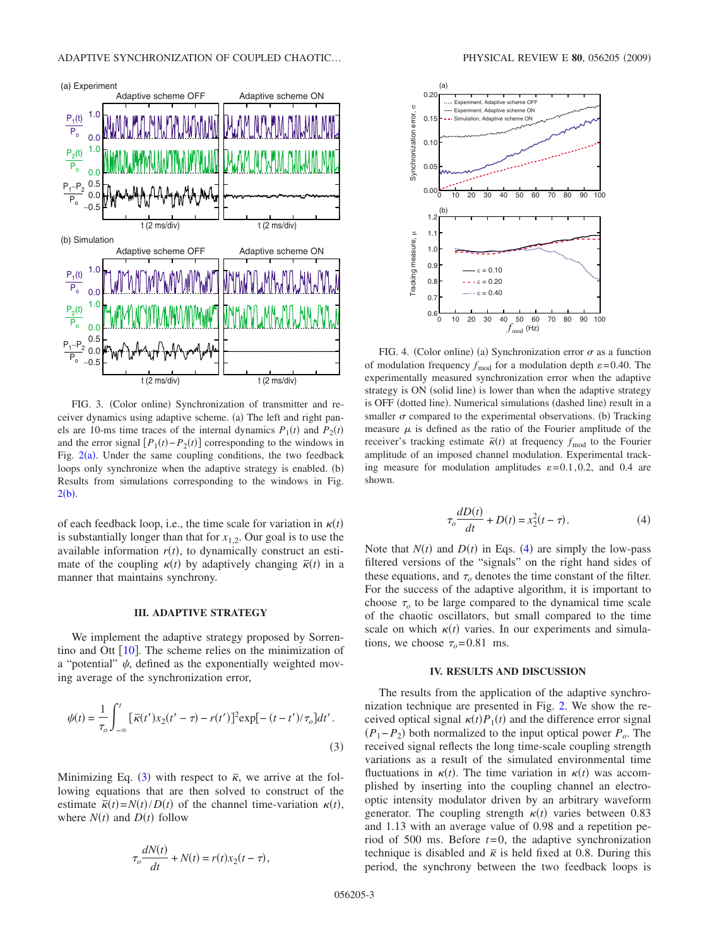<span id="page-2-0"></span>

FIG. 3. (Color online) Synchronization of transmitter and receiver dynamics using adaptive scheme. (a) The left and right panels are 10-ms time traces of the internal dynamics  $P_1(t)$  and  $P_2(t)$ and the error signal  $[P_1(t) - P_2(t)]$  corresponding to the windows in Fig.  $2(a)$  $2(a)$ . Under the same coupling conditions, the two feedback loops only synchronize when the adaptive strategy is enabled. (b) Results from simulations corresponding to the windows in Fig.  $2(b).$  $2(b).$ 

of each feedback loop, i.e., the time scale for variation in  $\kappa(t)$ is substantially longer than that for  $x_{1,2}$ . Our goal is to use the available information  $r(t)$ , to dynamically construct an estimate of the coupling  $\kappa(t)$  by adaptively changing  $\bar{\kappa}(t)$  in a manner that maintains synchrony.

#### **III. ADAPTIVE STRATEGY**

We implement the adaptive strategy proposed by Sorrentino and Ott  $[10]$  $[10]$  $[10]$ . The scheme relies on the minimization of a "potential"  $\psi$ , defined as the exponentially weighted moving average of the synchronization error,

<span id="page-2-1"></span>
$$
\psi(t) = \frac{1}{\tau_o} \int_{-\infty}^{t} \left[ \overline{\kappa}(t') x_2(t' - \tau) - r(t') \right]^2 \exp[-(t - t')/\tau_o] dt'.
$$
\n(3)

<span id="page-2-2"></span>Minimizing Eq. ([3](#page-2-1)) with respect to  $\bar{\kappa}$ , we arrive at the following equations that are then solved to construct of the estimate  $\bar{\kappa}(t) = N(t)/D(t)$  of the channel time-variation  $\kappa(t)$ , where  $N(t)$  and  $D(t)$  follow

$$
\tau_o \frac{dN(t)}{dt} + N(t) = r(t)x_2(t - \tau),
$$

<span id="page-2-3"></span>

FIG. 4. (Color online) (a) Synchronization error  $\sigma$  as a function of modulation frequency  $f_{\text{mod}}$  for a modulation depth  $\varepsilon = 0.40$ . The experimentally measured synchronization error when the adaptive strategy is ON (solid line) is lower than when the adaptive strategy is OFF (dotted line). Numerical simulations (dashed line) result in a smaller  $\sigma$  compared to the experimental observations. (b) Tracking measure  $\mu$  is defined as the ratio of the Fourier amplitude of the receiver's tracking estimate  $\bar{\kappa}(t)$  at frequency  $f_{\text{mod}}$  to the Fourier amplitude of an imposed channel modulation. Experimental tracking measure for modulation amplitudes  $\varepsilon = 0.1, 0.2$ , and 0.4 are shown.

$$
\tau_o \frac{dD(t)}{dt} + D(t) = x_2^2(t - \tau).
$$
 (4)

Note that  $N(t)$  and  $D(t)$  in Eqs. ([4](#page-2-2)) are simply the low-pass filtered versions of the "signals" on the right hand sides of these equations, and  $\tau$  denotes the time constant of the filter. For the success of the adaptive algorithm, it is important to choose  $\tau$ <sub>o</sub> to be large compared to the dynamical time scale of the chaotic oscillators, but small compared to the time scale on which  $\kappa(t)$  varies. In our experiments and simulations, we choose  $\tau_{o}$ =0.81 ms.

## **IV. RESULTS AND DISCUSSION**

The results from the application of the adaptive synchronization technique are presented in Fig. [2.](#page-1-2) We show the received optical signal  $\kappa(t)P_1(t)$  and the difference error signal  $(P_1-P_2)$  both normalized to the input optical power  $P_o$ . The received signal reflects the long time-scale coupling strength variations as a result of the simulated environmental time fluctuations in  $\kappa(t)$ . The time variation in  $\kappa(t)$  was accomplished by inserting into the coupling channel an electrooptic intensity modulator driven by an arbitrary waveform generator. The coupling strength  $\kappa(t)$  varies between 0.83 and 1.13 with an average value of 0.98 and a repetition period of 500 ms. Before *t*=0, the adaptive synchronization technique is disabled and  $\bar{\kappa}$  is held fixed at 0.8. During this period, the synchrony between the two feedback loops is